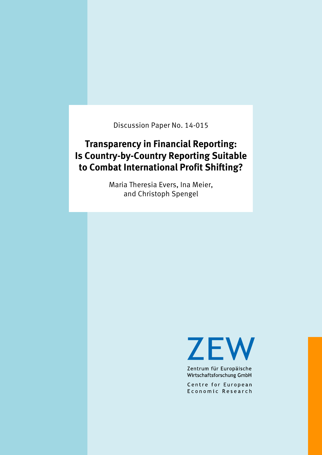Discussion Paper No. 14-015

# **Transparency in Financial Reporting: Is Country-by-Country Reporting Suitable to Combat International Profit Shifting?**

Maria Theresia Evers, Ina Meier, and Christoph Spengel

**ZEW** 

Zentrum für Europäische Wirtschaftsforschung GmbH

Centre for European Economic Research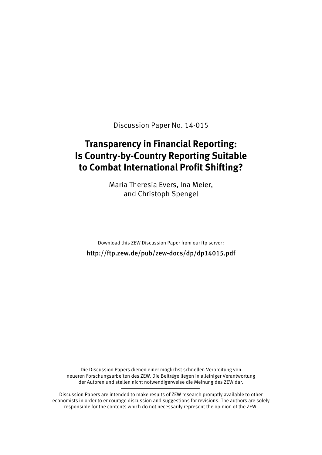Discussion Paper No. 14-015

# **Transparency in Financial Reporting: Is Country-by-Country Reporting Suitable to Combat International Profit Shifting?**

Maria Theresia Evers, Ina Meier, and Christoph Spengel

Download this ZEW Discussion Paper from our ftp server:

http://ftp.zew.de/pub/zew-docs/dp/dp14015.pdf

Die Discussion Papers dienen einer möglichst schnellen Verbreitung von neueren Forschungsarbeiten des ZEW. Die Beiträge liegen in alleiniger Verantwortung der Autoren und stellen nicht notwendigerweise die Meinung des ZEW dar.

Discussion Papers are intended to make results of ZEW research promptly available to other economists in order to encourage discussion and suggestions for revisions. The authors are solely responsible for the contents which do not necessarily represent the opinion of the ZEW.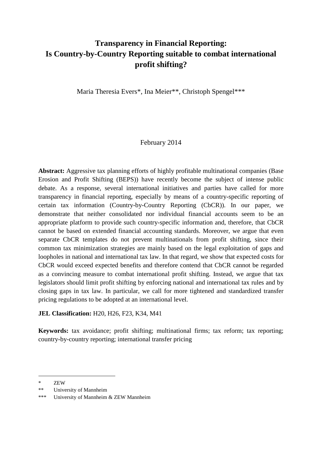## **Transparency in Financial Reporting: Is Country-by-Country Reporting suitable to combat international profit shifting?**

Maria Theresia Evers\*, Ina Meier\*\*, Christoph Spengel\*\*\*

## February 2014

**Abstract:** Aggressive tax planning efforts of highly profitable multinational companies (Base Erosion and Profit Shifting (BEPS)) have recently become the subject of intense public debate. As a response, several international initiatives and parties have called for more transparency in financial reporting, especially by means of a country-specific reporting of certain tax information (Country-by-Country Reporting (CbCR)). In our paper, we demonstrate that neither consolidated nor individual financial accounts seem to be an appropriate platform to provide such country-specific information and, therefore, that CbCR cannot be based on extended financial accounting standards. Moreover, we argue that even separate CbCR templates do not prevent multinationals from profit shifting, since their common tax minimization strategies are mainly based on the legal exploitation of gaps and loopholes in national and international tax law. In that regard, we show that expected costs for CbCR would exceed expected benefits and therefore contend that CbCR cannot be regarded as a convincing measure to combat international profit shifting. Instead, we argue that tax legislators should limit profit shifting by enforcing national and international tax rules and by closing gaps in tax law. In particular, we call for more tightened and standardized transfer pricing regulations to be adopted at an international level.

## **JEL Classification:** H20, H26, F23, K34, M41

**Keywords:** tax avoidance; profit shifting; multinational firms; tax reform; tax reporting; country-by-country reporting; international transfer pricing

<sup>\*</sup> ZEW

<sup>\*\*</sup> University of Mannheim

<sup>\*\*\*</sup> University of Mannheim & ZEW Mannheim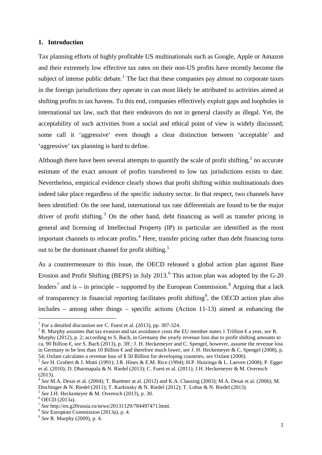#### **1. Introduction**

Tax planning efforts of highly profitable US multinationals such as Google, Apple or Amazon and their extremely low effective tax rates on their non-US profits have recently become the subject of intense public debate.<sup>[1](#page-3-0)</sup> The fact that these companies pay almost no corporate taxes in the foreign jurisdictions they operate in can most likely be attributed to activities aimed at shifting profits to tax havens. To this end, companies effectively exploit gaps and loopholes in international tax law, such that their endeavors do not in general classify as illegal. Yet, the acceptability of such activities from a social and ethical point of view is widely discussed; some call it 'aggressive' even though a clear distinction between 'acceptable' and 'aggressive' tax planning is hard to define.

Although there have been several attempts to quantify the scale of profit shifting, $2$  no accurate estimate of the exact amount of profits transferred to low tax jurisdictions exists to date. Nevertheless, empirical evidence clearly shows that profit shifting within multinationals does indeed take place regardless of the specific industry sector. In that respect, two channels have been identified: On the one hand, international tax rate differentials are found to be the major driver of profit shifting.<sup>[3](#page-3-2)</sup> On the other hand, debt financing as well as transfer pricing in general and licensing of Intellectual Property (IP) in particular are identified as the most important channels to relocate profits.<sup>[4](#page-3-3)</sup> Here, transfer pricing rather than debt financing turns out to be the dominant channel for profit shifting.<sup>[5](#page-3-4)</sup>

As a countermeasure to this issue, the OECD released a global action plan against Base Erosion and Profit Shifting (BEPS) in July 2013.<sup>[6](#page-3-5)</sup> This action plan was adopted by the G-20 leaders<sup>[7](#page-3-6)</sup> and is – in principle – supported by the European Commission.<sup>[8](#page-3-7)</sup> Arguing that a lack of transparency in financial reporting facilitates profit shifting<sup>[9](#page-3-8)</sup>, the OECD action plan also includes – among other things – specific actions (Action 11-13) aimed at enhancing the

<span id="page-3-1"></span><span id="page-3-0"></span><sup>2</sup> R. Murphy assumes that tax evasion and tax avoidance costs the EU member states 1 Trillion  $\epsilon$ a year, *see* R. Murphy (2012), p. 2; according to S. Bach, in Germany the yearly revenue loss due to profit shifting amounts to ca. 90 Billion €, *see* S. Bach (2013), p. 3ff.; J. H. Heckemeyer and C. Spengel, however, assume the revenue loss in Germany to be less than 10 Billion € and therefore much lower, *see* J. H. Heckemeyer & C. Spengel (2008), p.

<sup>&</sup>lt;sup>1</sup> For a detailed discussion see C. Fuest et al. (2013), pp. 307-324.

<span id="page-3-2"></span><sup>54;</sup> Oxfam calculates a revenue loss of \$ 50 Billion for developing countries, *see* Oxfam (2000).<br><sup>3</sup> *See* H. Grubert & J. Mutti (1991); J.R. Hines & E.M. Rice (1994); H.P. Huizinga & L. Laeven (2008); P. Egger et al. (2010); D. Dharmapala & N. Riedel (2013); C. Fuest et al. (2011); J.H. Heckemeyer & M. Overesch (2013).

<span id="page-3-3"></span><sup>&</sup>lt;sup>4</sup> See M.A. Desai et al. (2004); T. Buettner at al. (2012) and K.A. Clausing (2003); M.A. Desai et al. (2006); M. Dischinger & N. Riedel (2011); T. Karkinsky & N. Riedel (2012); T. Lohse & N. Riedel (2013).

<span id="page-3-4"></span><sup>&</sup>lt;sup>5</sup> *See* J.H. Heckemeyer & M. Overesch (2013), p. 30.<br>
<sup>6</sup> OECD (2013a).<br>
<sup>7</sup> *See* http://en.g20russia.ru/news/20131129/784497471.html.

<span id="page-3-5"></span>

<span id="page-3-8"></span><span id="page-3-7"></span><span id="page-3-6"></span><sup>&</sup>lt;sup>8</sup> *See* European Commission (2013a), p. 4. 9 *See* R. Murphy (2009), p. 4.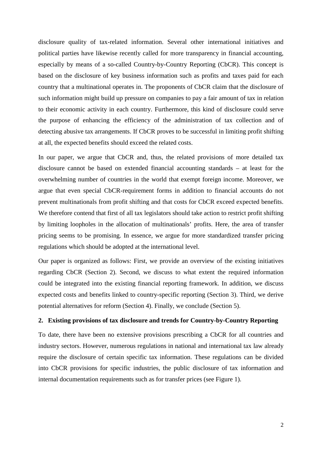disclosure quality of tax-related information. Several other international initiatives and political parties have likewise recently called for more transparency in financial accounting, especially by means of a so-called Country-by-Country Reporting (CbCR). This concept is based on the disclosure of key business information such as profits and taxes paid for each country that a multinational operates in. The proponents of CbCR claim that the disclosure of such information might build up pressure on companies to pay a fair amount of tax in relation to their economic activity in each country. Furthermore, this kind of disclosure could serve the purpose of enhancing the efficiency of the administration of tax collection and of detecting abusive tax arrangements. If CbCR proves to be successful in limiting profit shifting at all, the expected benefits should exceed the related costs.

In our paper, we argue that CbCR and, thus, the related provisions of more detailed tax disclosure cannot be based on extended financial accounting standards – at least for the overwhelming number of countries in the world that exempt foreign income. Moreover, we argue that even special CbCR-requirement forms in addition to financial accounts do not prevent multinationals from profit shifting and that costs for CbCR exceed expected benefits. We therefore contend that first of all tax legislators should take action to restrict profit shifting by limiting loopholes in the allocation of multinationals' profits. Here, the area of transfer pricing seems to be promising. In essence, we argue for more standardized transfer pricing regulations which should be adopted at the international level.

Our paper is organized as follows: First, we provide an overview of the existing initiatives regarding CbCR (Section 2). Second, we discuss to what extent the required information could be integrated into the existing financial reporting framework. In addition, we discuss expected costs and benefits linked to country-specific reporting (Section 3). Third, we derive potential alternatives for reform (Section 4). Finally, we conclude (Section 5).

#### **2. Existing provisions of tax disclosure and trends for Country-by-Country Reporting**

To date, there have been no extensive provisions prescribing a CbCR for all countries and industry sectors. However, numerous regulations in national and international tax law already require the disclosure of certain specific tax information. These regulations can be divided into CbCR provisions for specific industries, the public disclosure of tax information and internal documentation requirements such as for transfer prices (see Figure 1).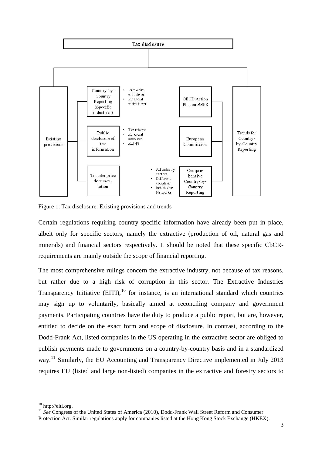

Figure 1: Tax disclosure: Existing provisions and trends

Certain regulations requiring country-specific information have already been put in place, albeit only for specific sectors, namely the extractive (production of oil, natural gas and minerals) and financial sectors respectively. It should be noted that these specific CbCRrequirements are mainly outside the scope of financial reporting.

The most comprehensive rulings concern the extractive industry, not because of tax reasons, but rather due to a high risk of corruption in this sector. The Extractive Industries Transparency Initiative  $(EITI)$ ,<sup>[10](#page-5-0)</sup> for instance, is an international standard which countries may sign up to voluntarily, basically aimed at reconciling company and government payments. Participating countries have the duty to produce a public report, but are, however, entitled to decide on the exact form and scope of disclosure. In contrast, according to the Dodd-Frank Act, listed companies in the US operating in the extractive sector are obliged to publish payments made to governments on a country-by-country basis and in a standardized way.<sup>[11](#page-5-1)</sup> Similarly, the EU Accounting and Transparency Directive implemented in July 2013 requires EU (listed and large non-listed) companies in the extractive and forestry sectors to

<span id="page-5-0"></span> $10$  http://eiti.org.

<span id="page-5-1"></span><sup>&</sup>lt;sup>11</sup> See Congress of the United States of America (2010), Dodd-Frank Wall Street Reform and Consumer Protection Act. Similar regulations apply for companies listed at the Hong Kong Stock Exchange (HKEX).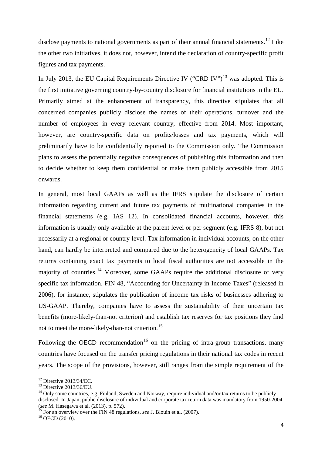disclose payments to national governments as part of their annual financial statements.<sup>[12](#page-6-0)</sup> Like the other two initiatives, it does not, however, intend the declaration of country-specific profit figures and tax payments.

In July 20[13](#page-6-1), the EU Capital Requirements Directive IV ("CRD IV")<sup>13</sup> was adopted. This is the first initiative governing country-by-country disclosure for financial institutions in the EU. Primarily aimed at the enhancement of transparency, this directive stipulates that all concerned companies publicly disclose the names of their operations, turnover and the number of employees in every relevant country, effective from 2014. Most important, however, are country-specific data on profits/losses and tax payments, which will preliminarily have to be confidentially reported to the Commission only. The Commission plans to assess the potentially negative consequences of publishing this information and then to decide whether to keep them confidential or make them publicly accessible from 2015 onwards.

In general, most local GAAPs as well as the IFRS stipulate the disclosure of certain information regarding current and future tax payments of multinational companies in the financial statements (e.g. IAS 12). In consolidated financial accounts, however, this information is usually only available at the parent level or per segment (e.g. IFRS 8), but not necessarily at a regional or country-level. Tax information in individual accounts, on the other hand, can hardly be interpreted and compared due to the heterogeneity of local GAAPs. Tax returns containing exact tax payments to local fiscal authorities are not accessible in the majority of countries.<sup>[14](#page-6-2)</sup> Moreover, some GAAPs require the additional disclosure of very specific tax information. FIN 48, "Accounting for Uncertainty in Income Taxes" (released in 2006), for instance, stipulates the publication of income tax risks of businesses adhering to US-GAAP. Thereby, companies have to assess the sustainability of their uncertain tax benefits (more-likely-than-not criterion) and establish tax reserves for tax positions they find not to meet the more-likely-than-not criterion.<sup>[15](#page-6-3)</sup>

Following the OECD recommendation<sup>[16](#page-6-4)</sup> on the pricing of intra-group transactions, many countries have focused on the transfer pricing regulations in their national tax codes in recent years. The scope of the provisions, however, still ranges from the simple requirement of the

<span id="page-6-2"></span><span id="page-6-1"></span>

<span id="page-6-0"></span><sup>&</sup>lt;sup>12</sup> Directive 2013/34/EC.<br><sup>13</sup> Directive 2013/36/EU.<br><sup>14</sup> Only some countries, e.g. Finland, Sweden and Norway, require individual and/or tax returns to be publicly disclosed. In Japan, public disclosure of individual and corporate tax return data was mandatory from 1950-2004 (see M. Hasegawa et al. (2013), p. 572).

<span id="page-6-4"></span><span id="page-6-3"></span><sup>&</sup>lt;sup>15</sup> For an overview over the FIN 48 regulations, *see* J. Blouin et al. (2007). <sup>16</sup> OECD (2010).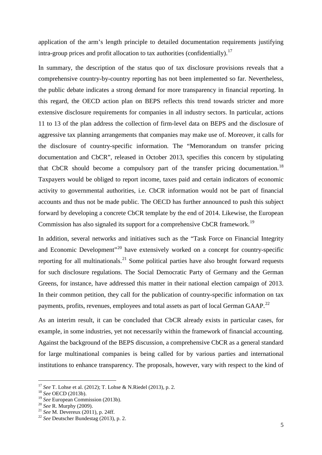application of the arm's length principle to detailed documentation requirements justifying intra-group prices and profit allocation to tax authorities (confidentially). [17](#page-7-0)

In summary, the description of the status quo of tax disclosure provisions reveals that a comprehensive country-by-country reporting has not been implemented so far. Nevertheless, the public debate indicates a strong demand for more transparency in financial reporting. In this regard, the OECD action plan on BEPS reflects this trend towards stricter and more extensive disclosure requirements for companies in all industry sectors. In particular, actions 11 to 13 of the plan address the collection of firm-level data on BEPS and the disclosure of aggressive tax planning arrangements that companies may make use of. Moreover, it calls for the disclosure of country-specific information. The "Memorandum on transfer pricing documentation and CbCR", released in October 2013, specifies this concern by stipulating that CbCR should become a compulsory part of the transfer pricing documentation.<sup>[18](#page-7-1)</sup> Taxpayers would be obliged to report income, taxes paid and certain indicators of economic activity to governmental authorities, i.e. CbCR information would not be part of financial accounts and thus not be made public. The OECD has further announced to push this subject forward by developing a concrete CbCR template by the end of 2014. Likewise, the European Commission has also signaled its support for a comprehensive CbCR framework.<sup>[19](#page-7-2)</sup>

In addition, several networks and initiatives such as the "Task Force on Financial Integrity and Economic Development"<sup>[20](#page-7-3)</sup> have extensively worked on a concept for country-specific reporting for all multinationals.<sup>[21](#page-7-4)</sup> Some political parties have also brought forward requests for such disclosure regulations. The Social Democratic Party of Germany and the German Greens, for instance, have addressed this matter in their national election campaign of 2013. In their common petition, they call for the publication of country-specific information on tax payments, profits, revenues, employees and total assets as part of local German GAAP.<sup>[22](#page-7-5)</sup>

As an interim result, it can be concluded that CbCR already exists in particular cases, for example, in some industries, yet not necessarily within the framework of financial accounting. Against the background of the BEPS discussion, a comprehensive CbCR as a general standard for large multinational companies is being called for by various parties and international institutions to enhance transparency. The proposals, however, vary with respect to the kind of

<span id="page-7-0"></span><sup>&</sup>lt;sup>17</sup> *See* T. Lohse et al. (2012); T. Lohse & N.Riedel (2013), p. 2.<br><sup>18</sup> *See* OECD (2013b).<br><sup>19</sup> *See* European Commission (2013b).

<span id="page-7-1"></span>

<span id="page-7-2"></span>

<span id="page-7-5"></span><span id="page-7-4"></span>

<span id="page-7-3"></span><sup>&</sup>lt;sup>20</sup> *See* R. Murphy (2009).<br><sup>21</sup> *See* M. Devereux (2011), p. 24ff. <sup>22</sup> *See* Deutscher Bundestag (2013), p. 2.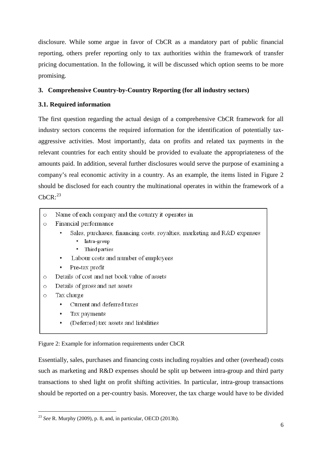disclosure. While some argue in favor of CbCR as a mandatory part of public financial reporting, others prefer reporting only to tax authorities within the framework of transfer pricing documentation. In the following, it will be discussed which option seems to be more promising.

## **3. Comprehensive Country-by-Country Reporting (for all industry sectors)**

## **3.1. Required information**

The first question regarding the actual design of a comprehensive CbCR framework for all industry sectors concerns the required information for the identification of potentially taxaggressive activities. Most importantly, data on profits and related tax payments in the relevant countries for each entity should be provided to evaluate the appropriateness of the amounts paid. In addition, several further disclosures would serve the purpose of examining a company's real economic activity in a country. As an example, the items listed in Figure 2 should be disclosed for each country the multinational operates in within the framework of a  $CbCR:^{23}$  $CbCR:^{23}$  $CbCR:^{23}$ 

- Name of each company and the country it operates in  $\cap$
- Financial performance  $\circ$ 
	- Sales, purchases, financing costs, royalties, marketing and R&D expenses
		- Intra-group
		- Third parties
	- Labour costs and number of employees
	- Pre-tax profit
- Details of cost and net book value of assets  $\circ$
- Details of gross and net assets  $\circ$
- Tax charge  $\circ$

-

- Current and deferred taxes
- Tax payments
- (Deferred) tax assets and liabilities

Figure 2: Example for information requirements under CbCR

Essentially, sales, purchases and financing costs including royalties and other (overhead) costs such as marketing and R&D expenses should be split up between intra-group and third party transactions to shed light on profit shifting activities. In particular, intra-group transactions should be reported on a per-country basis. Moreover, the tax charge would have to be divided

<span id="page-8-0"></span><sup>23</sup> *See* R. Murphy (2009), p. 8, and, in particular, OECD (2013b).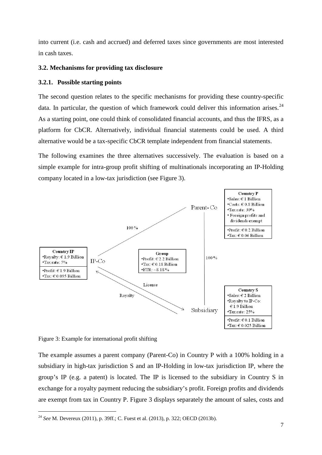into current (i.e. cash and accrued) and deferred taxes since governments are most interested in cash taxes.

#### **3.2. Mechanisms for providing tax disclosure**

## **3.2.1. Possible starting points**

The second question relates to the specific mechanisms for providing these country-specific data. In particular, the question of which framework could deliver this information arises.<sup>[24](#page-9-0)</sup> As a starting point, one could think of consolidated financial accounts, and thus the IFRS, as a platform for CbCR. Alternatively, individual financial statements could be used. A third alternative would be a tax-specific CbCR template independent from financial statements.

The following examines the three alternatives successively. The evaluation is based on a simple example for intra-group profit shifting of multinationals incorporating an IP-Holding company located in a low-tax jurisdiction (see Figure 3).



Figure 3: Example for international profit shifting

The example assumes a parent company (Parent-Co) in Country P with a 100% holding in a subsidiary in high-tax jurisdiction S and an IP-Holding in low-tax jurisdiction IP, where the group's IP (e.g. a patent) is located. The IP is licensed to the subsidiary in Country S in exchange for a royalty payment reducing the subsidiary's profit. Foreign profits and dividends are exempt from tax in Country P. Figure 3 displays separately the amount of sales, costs and

<span id="page-9-0"></span><sup>-</sup><sup>24</sup> *See* M. Devereux (2011), p. 39ff.; C. Fuest et al. (2013), p. 322; OECD (2013b).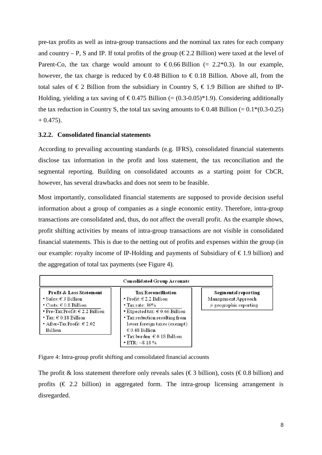pre-tax profits as well as intra-group transactions and the nominal tax rates for each company and country – P, S and IP. If total profits of the group ( $\epsilon$ 2.2 Billion) were taxed at the level of Parent-Co, the tax charge would amount to  $\epsilon$ 0.66 Billion (= 2.2\*0.3). In our example, however, the tax charge is reduced by  $\epsilon 0.48$  Billion to  $\epsilon 0.18$  Billion. Above all, from the total sales of  $\epsilon$ 2 Billion from the subsidiary in Country S,  $\epsilon$ 1.9 Billion are shifted to IP-Holding, yielding a tax saving of  $\epsilon 0.475$  Billion (= (0.3-0.05)\*1.9). Considering additionally the tax reduction in Country S, the total tax saving amounts to  $\epsilon 0.48$  Billion (= 0.1\*(0.3-0.25)  $+ 0.475$ ).

## **3.2.2. Consolidated financial statements**

According to prevailing accounting standards (e.g. IFRS), consolidated financial statements disclose tax information in the profit and loss statement, the tax reconciliation and the segmental reporting. Building on consolidated accounts as a starting point for CbCR, however, has several drawbacks and does not seem to be feasible.

Most importantly, consolidated financial statements are supposed to provide decision useful information about a group of companies as a single economic entity. Therefore, intra-group transactions are consolidated and, thus, do not affect the overall profit. As the example shows, profit shifting activities by means of intra-group transactions are not visible in consolidated financial statements. This is due to the netting out of profits and expenses within the group (in our example: royalty income of IP-Holding and payments of Subsidiary of  $\epsilon$ 1.9 billion) and the aggregation of total tax payments (see Figure 4).

| <b>Profit &amp; Loss Statement</b>  | <b>Tax Reconciliation</b>                       | Segmental reporting         |
|-------------------------------------|-------------------------------------------------|-----------------------------|
| • Sales: $\in$ 3 Billion            | • Profit: $\in$ 2.2 Billion                     | Management Approach         |
| $\cdot$ Costs: $\in$ 0.8 Billion    | $\cdot$ Tax rate: 30%                           | $\neq$ geographic reporting |
| • Pre-Tax Profit: $\in$ 2.2 Billion | $\bullet$ Expected tax: $\epsilon$ 0.66 Billion |                             |
| $\cdot$ Tax: $\in$ 0.18 Billion     | • Tax reduction resulting from                  |                             |
| • After-Tax Profit: $\in$ 2.02      | lower foreign taxes (exempt):                   |                             |
| Billion                             | $\epsilon$ 0.48 Billion                         |                             |
|                                     | $\cdot$ Tax burden: $\in$ 0.18 Billion          |                             |
|                                     | $\cdot$ ETR: $\sim$ 8.18%                       |                             |

Figure 4: Intra-group profit shifting and consolidated financial accounts

The profit & loss statement therefore only reveals sales ( $\epsilon$ 3 billion), costs ( $\epsilon$ 0.8 billion) and profits  $(\epsilon \geq 2.2)$  billion) in aggregated form. The intra-group licensing arrangement is disregarded.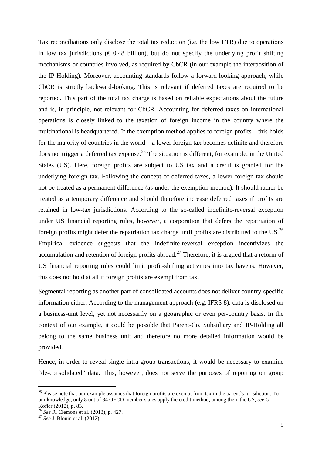Tax reconciliations only disclose the total tax reduction (i.e. the low ETR) due to operations in low tax jurisdictions ( $\epsilon$  0.48 billion), but do not specify the underlying profit shifting mechanisms or countries involved, as required by CbCR (in our example the interposition of the IP-Holding). Moreover, accounting standards follow a forward-looking approach, while CbCR is strictly backward-looking. This is relevant if deferred taxes are required to be reported. This part of the total tax charge is based on reliable expectations about the future and is, in principle, not relevant for CbCR. Accounting for deferred taxes on international operations is closely linked to the taxation of foreign income in the country where the multinational is headquartered. If the exemption method applies to foreign profits – this holds for the majority of countries in the world – a lower foreign tax becomes definite and therefore does not trigger a deferred tax expense.<sup>[25](#page-11-0)</sup> The situation is different, for example, in the United States (US). Here, foreign profits are subject to US tax and a credit is granted for the underlying foreign tax. Following the concept of deferred taxes, a lower foreign tax should not be treated as a permanent difference (as under the exemption method). It should rather be treated as a temporary difference and should therefore increase deferred taxes if profits are retained in low-tax jurisdictions. According to the so-called indefinite-reversal exception under US financial reporting rules, however, a corporation that defers the repatriation of foreign profits might defer the repatriation tax charge until profits are distributed to the  $US^{26}$  $US^{26}$  $US^{26}$ Empirical evidence suggests that the indefinite-reversal exception incentivizes the accumulation and retention of foreign profits abroad.<sup>[27](#page-11-2)</sup> Therefore, it is argued that a reform of US financial reporting rules could limit profit-shifting activities into tax havens. However, this does not hold at all if foreign profits are exempt from tax.

Segmental reporting as another part of consolidated accounts does not deliver country-specific information either. According to the management approach (e.g. IFRS 8), data is disclosed on a business-unit level, yet not necessarily on a geographic or even per-country basis. In the context of our example, it could be possible that Parent-Co, Subsidiary and IP-Holding all belong to the same business unit and therefore no more detailed information would be provided.

Hence, in order to reveal single intra-group transactions, it would be necessary to examine "de-consolidated" data. This, however, does not serve the purposes of reporting on group

<span id="page-11-0"></span> $25$  Please note that our example assumes that foreign profits are exempt from tax in the parent`s jurisdiction. To our knowledge, only 8 out of 34 OECD member states apply the credit method, among them the US, *see* G.

<span id="page-11-1"></span><sup>&</sup>lt;sup>26</sup> *See* R. Clemons et al. (2013), p. 427. <sup>27</sup> *See* J. Blouin et al. (2012).

<span id="page-11-2"></span>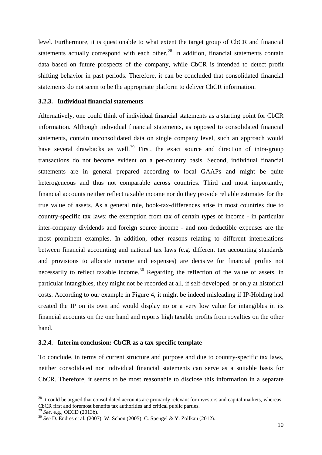level. Furthermore, it is questionable to what extent the target group of CbCR and financial statements actually correspond with each other.<sup>[28](#page-12-0)</sup> In addition, financial statements contain data based on future prospects of the company, while CbCR is intended to detect profit shifting behavior in past periods. Therefore, it can be concluded that consolidated financial statements do not seem to be the appropriate platform to deliver CbCR information.

#### **3.2.3. Individual financial statements**

Alternatively, one could think of individual financial statements as a starting point for CbCR information. Although individual financial statements, as opposed to consolidated financial statements, contain unconsolidated data on single company level, such an approach would have several drawbacks as well.<sup>[29](#page-12-1)</sup> First, the exact source and direction of intra-group transactions do not become evident on a per-country basis. Second, individual financial statements are in general prepared according to local GAAPs and might be quite heterogeneous and thus not comparable across countries. Third and most importantly, financial accounts neither reflect taxable income nor do they provide reliable estimates for the true value of assets. As a general rule, book-tax-differences arise in most countries due to country-specific tax laws; the exemption from tax of certain types of income - in particular inter-company dividends and foreign source income - and non-deductible expenses are the most prominent examples. In addition, other reasons relating to different interrelations between financial accounting and national tax laws (e.g. different tax accounting standards and provisions to allocate income and expenses) are decisive for financial profits not necessarily to reflect taxable income.<sup>[30](#page-12-2)</sup> Regarding the reflection of the value of assets, in particular intangibles, they might not be recorded at all, if self-developed, or only at historical costs. According to our example in Figure 4, it might be indeed misleading if IP-Holding had created the IP on its own and would display no or a very low value for intangibles in its financial accounts on the one hand and reports high taxable profits from royalties on the other hand.

#### **3.2.4. Interim conclusion: CbCR as a tax-specific template**

To conclude, in terms of current structure and purpose and due to country-specific tax laws, neither consolidated nor individual financial statements can serve as a suitable basis for CbCR. Therefore, it seems to be most reasonable to disclose this information in a separate

<span id="page-12-0"></span> $^{28}$  It could be argued that consolidated accounts are primarily relevant for investors and capital markets, whereas CbCR first and foremost benefits tax authorities and critical public parties. <sup>29</sup> *See*, e.g., OECD (2013b).

<span id="page-12-1"></span>

<span id="page-12-2"></span><sup>&</sup>lt;sup>30</sup> See D. Endres et al. (2007); W. Schön (2005); C. Spengel & Y. Zöllkau (2012).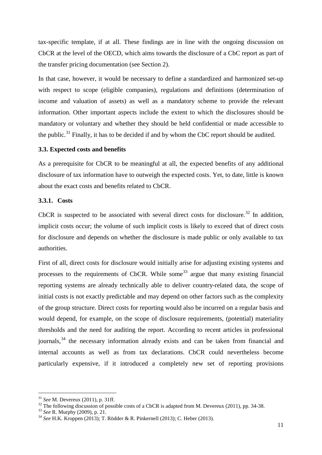tax-specific template, if at all. These findings are in line with the ongoing discussion on CbCR at the level of the OECD, which aims towards the disclosure of a CbC report as part of the transfer pricing documentation (see Section 2).

In that case, however, it would be necessary to define a standardized and harmonized set-up with respect to scope (eligible companies), regulations and definitions (determination of income and valuation of assets) as well as a mandatory scheme to provide the relevant information. Other important aspects include the extent to which the disclosures should be mandatory or voluntary and whether they should be held confidential or made accessible to the public.<sup>[31](#page-13-0)</sup> Finally, it has to be decided if and by whom the CbC report should be audited.

## **3.3. Expected costs and benefits**

As a prerequisite for CbCR to be meaningful at all, the expected benefits of any additional disclosure of tax information have to outweigh the expected costs. Yet, to date, little is known about the exact costs and benefits related to CbCR.

## **3.3.1. Costs**

CbCR is suspected to be associated with several direct costs for disclosure.<sup>[32](#page-13-1)</sup> In addition, implicit costs occur; the volume of such implicit costs is likely to exceed that of direct costs for disclosure and depends on whether the disclosure is made public or only available to tax authorities.

First of all, direct costs for disclosure would initially arise for adjusting existing systems and processes to the requirements of CbCR. While some<sup>[33](#page-13-2)</sup> argue that many existing financial reporting systems are already technically able to deliver country-related data, the scope of initial costs is not exactly predictable and may depend on other factors such as the complexity of the group structure. Direct costs for reporting would also be incurred on a regular basis and would depend, for example, on the scope of disclosure requirements, (potential) materiality thresholds and the need for auditing the report. According to recent articles in professional journals,  $34$  the necessary information already exists and can be taken from financial and internal accounts as well as from tax declarations. CbCR could nevertheless become particularly expensive, if it introduced a completely new set of reporting provisions

<span id="page-13-0"></span><sup>&</sup>lt;sup>31</sup> See M. Devereux (2011), p. 31ff.<br><sup>32</sup> The following discussion of possible costs of a CbCR is adapted from M. Devereux (2011), pp. 34-38.<br><sup>33</sup> See R. Murphy (2009), p. 21.<br><sup>34</sup> See H.K. Kroppen (2013); T. Rödder & R.

<span id="page-13-2"></span><span id="page-13-1"></span>

<span id="page-13-3"></span>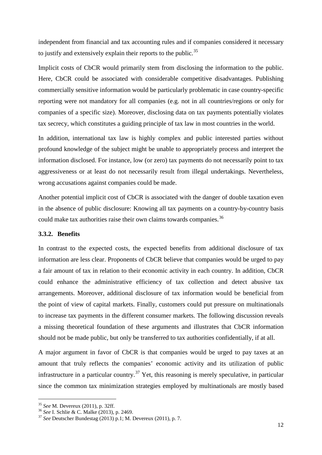independent from financial and tax accounting rules and if companies considered it necessary to justify and extensively explain their reports to the public.<sup>[35](#page-14-0)</sup>

Implicit costs of CbCR would primarily stem from disclosing the information to the public. Here, CbCR could be associated with considerable competitive disadvantages. Publishing commercially sensitive information would be particularly problematic in case country-specific reporting were not mandatory for all companies (e.g. not in all countries/regions or only for companies of a specific size). Moreover, disclosing data on tax payments potentially violates tax secrecy, which constitutes a guiding principle of tax law in most countries in the world.

In addition, international tax law is highly complex and public interested parties without profound knowledge of the subject might be unable to appropriately process and interpret the information disclosed. For instance, low (or zero) tax payments do not necessarily point to tax aggressiveness or at least do not necessarily result from illegal undertakings. Nevertheless, wrong accusations against companies could be made.

Another potential implicit cost of CbCR is associated with the danger of double taxation even in the absence of public disclosure: Knowing all tax payments on a country-by-country basis could make tax authorities raise their own claims towards companies.<sup>[36](#page-14-1)</sup>

#### **3.3.2. Benefits**

In contrast to the expected costs, the expected benefits from additional disclosure of tax information are less clear. Proponents of CbCR believe that companies would be urged to pay a fair amount of tax in relation to their economic activity in each country. In addition, CbCR could enhance the administrative efficiency of tax collection and detect abusive tax arrangements. Moreover, additional disclosure of tax information would be beneficial from the point of view of capital markets. Finally, customers could put pressure on multinationals to increase tax payments in the different consumer markets. The following discussion reveals a missing theoretical foundation of these arguments and illustrates that CbCR information should not be made public, but only be transferred to tax authorities confidentially, if at all.

A major argument in favor of CbCR is that companies would be urged to pay taxes at an amount that truly reflects the companies' economic activity and its utilization of public infrastructure in a particular country.<sup>[37](#page-14-2)</sup> Yet, this reasoning is merely speculative, in particular since the common tax minimization strategies employed by multinationals are mostly based

<span id="page-14-2"></span><span id="page-14-1"></span>

<span id="page-14-0"></span><sup>&</sup>lt;sup>35</sup> *See* M. Devereux (2011), p. 32ff.<br><sup>36</sup> *See* I. Schlie & C. Malke (2013), p. 2469.<br><sup>37</sup> *See* Deutscher Bundestag (2013) p.1; M. Devereux (2011), p. 7.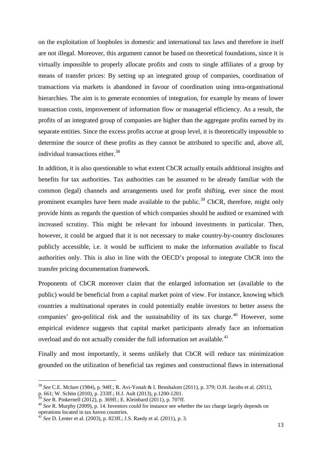on the exploitation of loopholes in domestic and international tax laws and therefore in itself are not illegal. Moreover, this argument cannot be based on theoretical foundations, since it is virtually impossible to properly allocate profits and costs to single affiliates of a group by means of transfer prices: By setting up an integrated group of companies, coordination of transactions via markets is abandoned in favour of coordination using intra-organisational hierarchies. The aim is to generate economies of integration, for example by means of lower transaction costs, improvement of information flow or managerial efficiency. As a result, the profits of an integrated group of companies are higher than the aggregate profits earned by its separate entities. Since the excess profits accrue at group level, it is theoretically impossible to determine the source of these profits as they cannot be attributed to specific and, above all, individual transactions either. $38$ 

In addition, it is also questionable to what extent CbCR actually entails additional insights and benefits for tax authorities. Tax authorities can be assumed to be already familiar with the common (legal) channels and arrangements used for profit shifting, ever since the most prominent examples have been made available to the public.<sup>[39](#page-15-1)</sup> CbCR, therefore, might only provide hints as regards the question of which companies should be audited or examined with increased scrutiny. This might be relevant for inbound investments in particular. Then, however, it could be argued that it is not necessary to make country-by-country disclosures publicly accessible, i.e. it would be sufficient to make the information available to fiscal authorities only. This is also in line with the OECD's proposal to integrate CbCR into the transfer pricing documentation framework.

Proponents of CbCR moreover claim that the enlarged information set (available to the public) would be beneficial from a capital market point of view. For instance, knowing which countries a multinational operates in could potentially enable investors to better assess the companies' geo-political risk and the sustainability of its tax charge.<sup>[40](#page-15-2)</sup> However, some empirical evidence suggests that capital market participants already face an information overload and do not actually consider the full information set available.<sup>[41](#page-15-3)</sup>

Finally and most importantly, it seems unlikely that CbCR will reduce tax minimization grounded on the utilization of beneficial tax regimes and constructional flaws in international

<span id="page-15-0"></span><sup>38</sup> *See* C.E. Mclure (1984), p. 94ff.; R. Avi-Yonah & I. Benshalom (2011), p. 379; O.H. Jacobs et al. (2011),

p. 661; W. Schön (2010), p. 233ff.; H.J. Ault (2013), p.1200-1201.<br><sup>39</sup> See R. Pinkernell (2012), p. 369ff.; E. Kleinbard (2011), p. 707ff.

<span id="page-15-1"></span>

<span id="page-15-2"></span><sup>&</sup>lt;sup>40</sup> See R. Murphy (2009), p. 14. Investors could for instance see whether the tax charge largely depends on operations located in tax haven countries.

<span id="page-15-3"></span><sup>41</sup> *See* D. Lenter et al. (2003), p. 823ff.; J.S. Raedy et al. (2011), p. 3.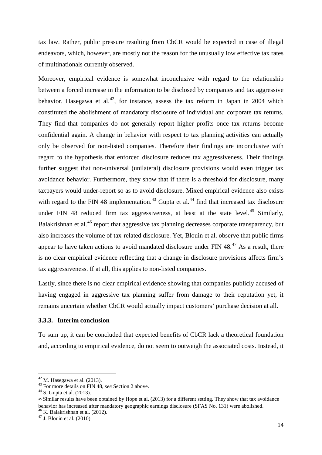tax law. Rather, public pressure resulting from CbCR would be expected in case of illegal endeavors, which, however, are mostly not the reason for the unusually low effective tax rates of multinationals currently observed.

Moreover, empirical evidence is somewhat inconclusive with regard to the relationship between a forced increase in the information to be disclosed by companies and tax aggressive behavior. Hasegawa et al.<sup>[42](#page-16-0)</sup>, for instance, assess the tax reform in Japan in 2004 which constituted the abolishment of mandatory disclosure of individual and corporate tax returns. They find that companies do not generally report higher profits once tax returns become confidential again. A change in behavior with respect to tax planning activities can actually only be observed for non-listed companies. Therefore their findings are inconclusive with regard to the hypothesis that enforced disclosure reduces tax aggressiveness. Their findings further suggest that non-universal (unilateral) disclosure provisions would even trigger tax avoidance behavior. Furthermore, they show that if there is a threshold for disclosure, many taxpayers would under-report so as to avoid disclosure. Mixed empirical evidence also exists with regard to the FIN 48 implementation.<sup>[43](#page-16-1)</sup> Gupta et al.<sup>[44](#page-16-2)</sup> find that increased tax disclosure under FIN 48 reduced firm tax aggressiveness, at least at the state level.<sup>[45](#page-16-3)</sup> Similarly, Balakrishnan et al.<sup>[46](#page-16-4)</sup> report that aggressive tax planning decreases corporate transparency, but also increases the volume of tax-related disclosure. Yet, Blouin et al. observe that public firms appear to have taken actions to avoid mandated disclosure under FIN  $48<sup>47</sup>$  $48<sup>47</sup>$  $48<sup>47</sup>$  As a result, there is no clear empirical evidence reflecting that a change in disclosure provisions affects firm's tax aggressiveness. If at all, this applies to non-listed companies.

Lastly, since there is no clear empirical evidence showing that companies publicly accused of having engaged in aggressive tax planning suffer from damage to their reputation yet, it remains uncertain whether CbCR would actually impact customers' purchase decision at all.

#### **3.3.3. Interim conclusion**

To sum up, it can be concluded that expected benefits of CbCR lack a theoretical foundation and, according to empirical evidence, do not seem to outweigh the associated costs. Instead, it

<span id="page-16-1"></span><span id="page-16-0"></span><sup>42</sup> M. Hasegawa et al. (2013). <sup>43</sup> For more details on FIN 48, *see* Section 2 above. <sup>44</sup> S. Gupta et al. (2013).

<span id="page-16-3"></span><span id="page-16-2"></span><sup>45</sup> Similar results have been obtained by Hope et al. (2013) for a different setting. They show that tax avoidance behavior has increased after mandatory geographic earnings disclosure (SFAS No. 131) were abolished.

<span id="page-16-5"></span><span id="page-16-4"></span><sup>&</sup>lt;sup>46</sup> K. Balakrishnan et al. (2012).<br><sup>47</sup> J. Blouin et al. (2010).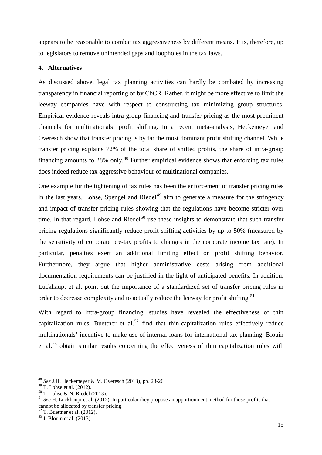appears to be reasonable to combat tax aggressiveness by different means. It is, therefore, up to legislators to remove unintended gaps and loopholes in the tax laws.

#### **4. Alternatives**

As discussed above, legal tax planning activities can hardly be combated by increasing transparency in financial reporting or by CbCR. Rather, it might be more effective to limit the leeway companies have with respect to constructing tax minimizing group structures. Empirical evidence reveals intra-group financing and transfer pricing as the most prominent channels for multinationals' profit shifting. In a recent meta-analysis, Heckemeyer and Overesch show that transfer pricing is by far the most dominant profit shifting channel. While transfer pricing explains 72% of the total share of shifted profits, the share of intra-group financing amounts to 28% only.<sup>[48](#page-17-0)</sup> Further empirical evidence shows that enforcing tax rules does indeed reduce tax aggressive behaviour of multinational companies.

One example for the tightening of tax rules has been the enforcement of transfer pricing rules in the last years. Lohse, Spengel and Riedel<sup>[49](#page-17-1)</sup> aim to generate a measure for the stringency and impact of transfer pricing rules showing that the regulations have become stricter over time. In that regard, Lohse and Riedel<sup>[50](#page-17-2)</sup> use these insights to demonstrate that such transfer pricing regulations significantly reduce profit shifting activities by up to 50% (measured by the sensitivity of corporate pre-tax profits to changes in the corporate income tax rate). In particular, penalties exert an additional limiting effect on profit shifting behavior. Furthermore, they argue that higher administrative costs arising from additional documentation requirements can be justified in the light of anticipated benefits. In addition, Luckhaupt et al. point out the importance of a standardized set of transfer pricing rules in order to decrease complexity and to actually reduce the leeway for profit shifting.<sup>[51](#page-17-3)</sup>

With regard to intra-group financing, studies have revealed the effectiveness of thin capitalization rules. Buettner et al.<sup>[52](#page-17-4)</sup> find that thin-capitalization rules effectively reduce multinationals' incentive to make use of internal loans for international tax planning. Blouin et al.[53](#page-17-5) obtain similar results concerning the effectiveness of thin capitalization rules with

<span id="page-17-0"></span><sup>48</sup> *See* J.H. Heckemeyer & M. Overesch (2013), pp. 23-26.

<span id="page-17-1"></span>

<span id="page-17-3"></span><span id="page-17-2"></span><sup>&</sup>lt;sup>50</sup> T. Lohse & N. Riedel (2013).<br><sup>51</sup> *See* H. Luckhaupt et al. (2012). In particular they propose an apportionment method for those profits that cannot be allocated by transfer pricing.<br><sup>52</sup> T. Buettner et al. (2012).

<span id="page-17-4"></span>

<span id="page-17-5"></span> $53$  J. Blouin et al. (2013).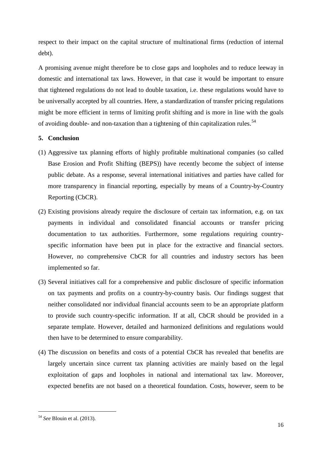respect to their impact on the capital structure of multinational firms (reduction of internal debt).

A promising avenue might therefore be to close gaps and loopholes and to reduce leeway in domestic and international tax laws. However, in that case it would be important to ensure that tightened regulations do not lead to double taxation, i.e. these regulations would have to be universally accepted by all countries. Here, a standardization of transfer pricing regulations might be more efficient in terms of limiting profit shifting and is more in line with the goals of avoiding double- and non-taxation than a tightening of thin capitalization rules.<sup>[54](#page-18-0)</sup>

## **5. Conclusion**

- (1) Aggressive tax planning efforts of highly profitable multinational companies (so called Base Erosion and Profit Shifting (BEPS)) have recently become the subject of intense public debate. As a response, several international initiatives and parties have called for more transparency in financial reporting, especially by means of a Country-by-Country Reporting (CbCR).
- (2) Existing provisions already require the disclosure of certain tax information, e.g. on tax payments in individual and consolidated financial accounts or transfer pricing documentation to tax authorities. Furthermore, some regulations requiring countryspecific information have been put in place for the extractive and financial sectors. However, no comprehensive CbCR for all countries and industry sectors has been implemented so far.
- (3) Several initiatives call for a comprehensive and public disclosure of specific information on tax payments and profits on a country-by-country basis. Our findings suggest that neither consolidated nor individual financial accounts seem to be an appropriate platform to provide such country-specific information. If at all, CbCR should be provided in a separate template. However, detailed and harmonized definitions and regulations would then have to be determined to ensure comparability.
- (4) The discussion on benefits and costs of a potential CbCR has revealed that benefits are largely uncertain since current tax planning activities are mainly based on the legal exploitation of gaps and loopholes in national and international tax law. Moreover, expected benefits are not based on a theoretical foundation. Costs, however, seem to be

<span id="page-18-0"></span><sup>54</sup> *See* Blouin et al. (2013).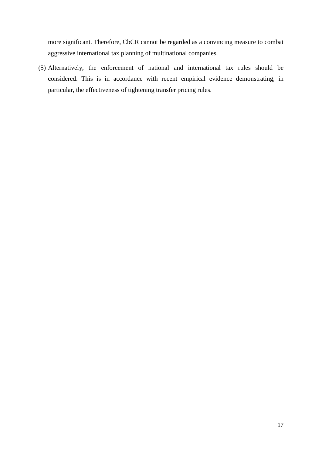more significant. Therefore, CbCR cannot be regarded as a convincing measure to combat aggressive international tax planning of multinational companies.

(5) Alternatively, the enforcement of national and international tax rules should be considered. This is in accordance with recent empirical evidence demonstrating, in particular, the effectiveness of tightening transfer pricing rules.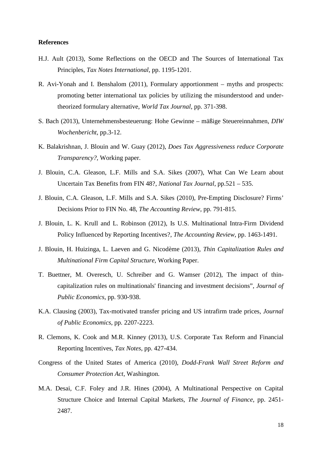#### **References**

- H.J. Ault (2013), Some Reflections on the OECD and The Sources of International Tax Principles, *Tax Notes International*, pp. 1195-1201.
- R. Avi-Yonah and I. Benshalom (2011), Formulary apportionment myths and prospects: promoting better international tax policies by utilizing the misunderstood and undertheorized formulary alternative, *World Tax Journal*, pp. 371-398.
- S. Bach (2013), Unternehmensbesteuerung: Hohe Gewinne mäßige Steuereinnahmen, *DIW Wochenbericht*, pp.3-12.
- K. Balakrishnan, J. Blouin and W. Guay (2012), *Does Tax Aggressiveness reduce Corporate Transparency?,* Working paper.
- [J. Blouin,](https://accounting.wharton.upenn.edu/profile/400/) C.A. Gleason, L.F. Mills and [S.A. Sikes](https://accounting.wharton.upenn.edu/profile/645/) (2007), [What Can We Learn about](http://ntanet.org/tax-resources/ntj-full-text-articles.html)  [Uncertain Tax Benefits from FIN 48?,](http://ntanet.org/tax-resources/ntj-full-text-articles.html) *National Tax Journal*, pp.521 – 535.
- J. Blouin, C.A. Gleason, L.F. Mills and S.A. Sikes (2010), Pre-Empting Disclosure? Firms' Decisions Prior to FIN No. 48, *The Accounting Review*, pp. 791-815.
- [J. Blouin,](https://accounting.wharton.upenn.edu/profile/400/) L. K. Krull and L. Robinson (2012), [Is U.S. Multinational Intra-Firm Dividend](http://aaajournals.org/doi/abs/10.2308/accr-50193)  [Policy Influenced by Reporting Incentives?,](http://aaajournals.org/doi/abs/10.2308/accr-50193) *The Accounting Review*, pp. 1463-1491.
- J. Blouin, H. Huizinga, L. Laeven and G. Nicodème (2013), *Thin Capitalization Rules and Multinational Firm Capital Structure*, Working Paper.
- T. Buettner, M. Overesch, U. Schreiber and G. Wamser (2012), The impact of thincapitalization rules on multinationals' financing and investment decisions", *Journal of Public Economics*, pp. 930-938.
- K.A. Clausing (2003), Tax-motivated transfer pricing and US intrafirm trade prices, *Journal of Public Economics*, pp. 2207-2223.
- R. Clemons, K. Cook and M.R. Kinney (2013), U.S. Corporate Tax Reform and Financial Reporting Incentives, *Tax Notes*, pp. 427-434.
- Congress of the United States of America (2010), *Dodd-Frank Wall Street Reform and Consumer Protection Act*, Washington.
- M.A. Desai, C.F. Foley and J.R. Hines (2004), A Multinational Perspective on Capital Structure Choice and Internal Capital Markets, *The Journal of Finance*, pp. 2451- 2487.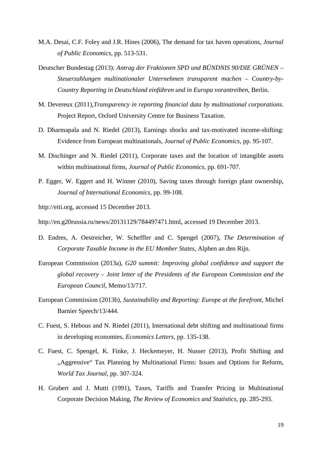- M.A. Desai, C.F. Foley and J.R. Hines (2006), The demand for tax haven operations, *Journal of Public Economics*, pp. 513-531.
- Deutscher Bundestag (2013): *Antrag der Fraktionen SPD und BÜNDNIS 90/DIE GRÜNEN – Steuerzahlungen multinationaler Unternehmen transparent machen – Country-by-Country Reporting in Deutschland einführen und in Europa vorantreiben*, Berlin.
- M. Devereux (2011),*[Transparency in reporting financial data by multinational corporations](http://eureka.bodleian.ox.ac.uk/2451/)*. Project Report, Oxford University Centre for Business Taxation.
- D. Dharmapala and N. Riedel (2013), Earnings shocks and tax-motivated income-shifting: Evidence from European multinationals, *Journal of Public Economics*, pp. 95-107.
- M. Dischinger and N. Riedel (2011), Corporate taxes and the location of intangible assets within multinational firms, *Journal of Public Economics*, pp. 691-707.
- P. Egger, W. Eggert and H. Winner (2010), Saving taxes through foreign plant ownership, *Journal of International Economics*, pp. 99-108.

http://eiti.org, accessed 15 December 2013.

http://en.g20russia.ru/news/20131129/784497471.html, accessed 19 December 2013.

- D. Endres, A. Oestreicher, W. Scheffler and C. Spengel (2007), *The Determination of Corporate Taxable Income in the EU Member States*, Alphen an den Rijn.
- European Commission (2013a), *G20 summit: Improving global confidence and support the global recovery – Joint letter of the Presidents of the European Commission and the European Council*, Memo/13/717.
- European Commission (2013b), *Sustainability and Reporting: Europe at the forefront*, Michel Barnier Speech/13/444.
- C. Fuest, S. Hebous and N. Riedel (2011), International debt shifting and multinational firms in developing economies, *Economics Letters*, pp. 135-138.
- C. Fuest, C. Spengel, K. Finke, J. Heckemeyer, H. Nusser (2013), Profit Shifting and "Aggressive" Tax Planning by Multinational Firms: Issues and Options for Reform, *World Tax Journal*, pp. 307-324.
- H. Grubert and J. Mutti (1991), Taxes, Tariffs and Transfer Pricing in Multinational Corporate Decision Making, *The Review of Economics and Statistics*, pp. 285-293.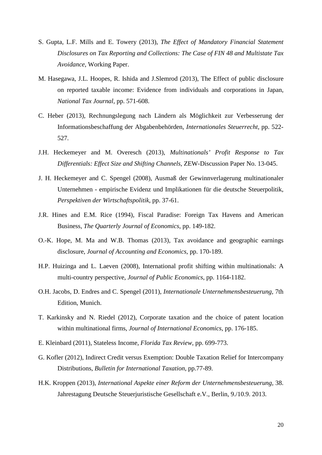- S. Gupta, L.F. Mills and E. Towery (2013), *The Effect of Mandatory Financial Statement Disclosures on Tax Reporting and Collections: The Case of FIN 48 and Multistate Tax Avoidance*, Working Paper.
- M. Hasegawa, J.L. Hoopes, R. Ishida and J.Slemrod (2013), The Effect of public disclosure on reported taxable income: Evidence from individuals and corporations in Japan, *National Tax Journal,* pp. 571-608.
- C. Heber (2013), Rechnungslegung nach Ländern als Möglichkeit zur Verbesserung der Informationsbeschaffung der Abgabenbehörden, *Internationales Steuerrecht*, pp. 522- 527.
- J.H. Heckemeyer and M. Overesch (2013), *Multinationals' Profit Response to Tax Differentials: Effect Size and Shifting Channels*, ZEW-Discussion Paper No. 13-045.
- J. H. Heckemeyer and C. Spengel (2008), Ausmaß der Gewinnverlagerung multinationaler Unternehmen - empirische Evidenz und Implikationen für die deutsche Steuerpolitik, *Perspektiven der Wirtschaftspolitik*, pp. 37-61.
- J.R. Hines and E.M. Rice (1994), Fiscal Paradise: Foreign Tax Havens and American Business, *The Quarterly Journal of Economics*, pp. 149-182.
- O.-K. Hope, M. Ma and W.B. Thomas (2013), Tax avoidance and geographic earnings disclosure, *Journal of Accounting and Economics*, pp. 170-189.
- H.P. Huizinga and L. Laeven (2008), International profit shifting within multinationals: A multi-country perspective, *Journal of Public Economics*, pp. 1164-1182.
- O.H. Jacobs, D. Endres and C. Spengel (2011), *Internationale Unternehmensbesteuerung*, 7th Edition, Munich.
- T. Karkinsky and N. Riedel (2012), Corporate taxation and the choice of patent location within multinational firms, *Journal of International Economics*, pp. 176-185.
- E. Kleinbard (2011), Stateless Income, *Florida Tax Review*, pp. 699-773.
- G. Kofler (2012), Indirect Credit versus Exemption: Double Taxation Relief for Intercompany Distributions, *Bulletin for International Taxation*, pp.77-89.
- H.K. Kroppen (2013), *International Aspekte einer Reform der Unternehmensbesteuerung*, 38. Jahrestagung Deutsche Steuerjuristische Gesellschaft e.V., Berlin, 9./10.9. 2013.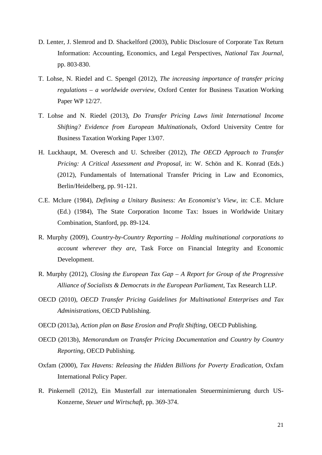- D. Lenter, J. Slemrod and D. Shackelford (2003), Public Disclosure of Corporate Tax Return Information: Accounting, Economics, and Legal Perspectives, *National Tax Journal*, pp. 803-830.
- T. Lohse, N. Riedel and C. Spengel (2012), *The increasing importance of transfer pricing regulations – a worldwide overview,* Oxford Center for Business Taxation Working Paper WP 12/27.
- T. Lohse and N. Riedel (2013), *Do Transfer Pricing Laws limit International Income Shifting? Evidence from European Multinationals*, Oxford University Centre for Business Taxation Working Paper 13/07.
- H. Luckhaupt, M. Overesch and U. Schreiber (2012), *The OECD Approach to Transfer Pricing: A Critical Assessment and Proposal*, in: W. Schön and K. Konrad (Eds.) (2012), Fundamentals of International Transfer Pricing in Law and Economics, Berlin/Heidelberg, pp. 91-121.
- C.E. Mclure (1984), *Defining a Unitary Business: An Economist's View*, in: C.E. Mclure (Ed.) (1984), The State Corporation Income Tax: Issues in Worldwide Unitary Combination, Stanford, pp. 89-124.
- R. Murphy (2009), *Country-by-Country Reporting – Holding multinational corporations to account wherever they are*, Task Force on Financial Integrity and Economic Development.
- R. Murphy (2012), *Closing the European Tax Gap – A Report for Group of the Progressive Alliance of Socialists & Democrats in the European Parliament*, Tax Research LLP.
- OECD (2010), *OECD Transfer Pricing Guidelines for Multinational Enterprises and Tax Administrations,* OECD Publishing.
- OECD (2013a), *Action plan on Base Erosion and Profit Shifting,* OECD Publishing.
- OECD (2013b), *Memorandum on Transfer Pricing Documentation and Country by Country Reporting*, OECD Publishing.
- Oxfam (2000), *Tax Havens: Releasing the Hidden Billions for Poverty Eradication*, Oxfam International Policy Paper.
- R. Pinkernell (2012), Ein Musterfall zur internationalen Steuerminimierung durch US-Konzerne, *Steuer und Wirtschaft*, pp. 369-374.